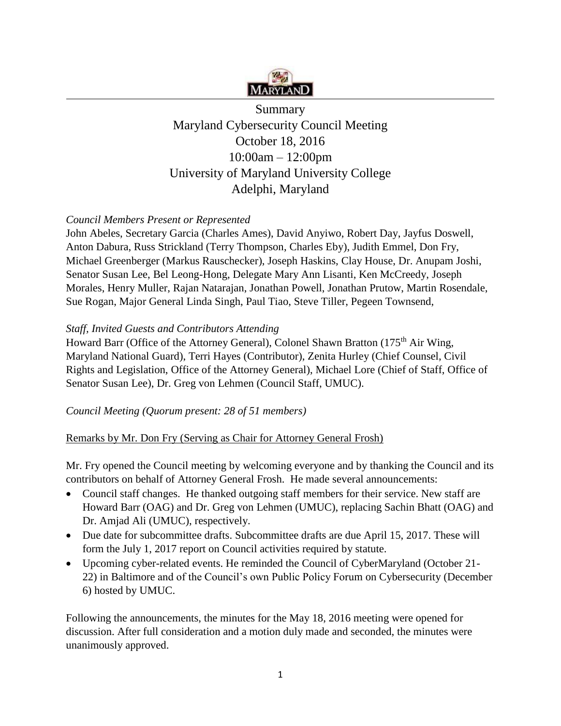

Summary Maryland Cybersecurity Council Meeting October 18, 2016 10:00am – 12:00pm University of Maryland University College Adelphi, Maryland

# *Council Members Present or Represented*

John Abeles, Secretary Garcia (Charles Ames), David Anyiwo, Robert Day, Jayfus Doswell, Anton Dabura, Russ Strickland (Terry Thompson, Charles Eby), Judith Emmel, Don Fry, Michael Greenberger (Markus Rauschecker), Joseph Haskins, Clay House, Dr. Anupam Joshi, Senator Susan Lee, Bel Leong-Hong, Delegate Mary Ann Lisanti, Ken McCreedy, Joseph Morales, Henry Muller, Rajan Natarajan, Jonathan Powell, Jonathan Prutow, Martin Rosendale, Sue Rogan, Major General Linda Singh, Paul Tiao, Steve Tiller, Pegeen Townsend,

## *Staff, Invited Guests and Contributors Attending*

Howard Barr (Office of the Attorney General), Colonel Shawn Bratton (175<sup>th</sup> Air Wing, Maryland National Guard), Terri Hayes (Contributor), Zenita Hurley (Chief Counsel, Civil Rights and Legislation, Office of the Attorney General), Michael Lore (Chief of Staff, Office of Senator Susan Lee), Dr. Greg von Lehmen (Council Staff, UMUC).

## *Council Meeting (Quorum present: 28 of 51 members)*

## Remarks by Mr. Don Fry (Serving as Chair for Attorney General Frosh)

Mr. Fry opened the Council meeting by welcoming everyone and by thanking the Council and its contributors on behalf of Attorney General Frosh. He made several announcements:

- Council staff changes. He thanked outgoing staff members for their service. New staff are Howard Barr (OAG) and Dr. Greg von Lehmen (UMUC), replacing Sachin Bhatt (OAG) and Dr. Amjad Ali (UMUC), respectively.
- Due date for subcommittee drafts. Subcommittee drafts are due April 15, 2017. These will form the July 1, 2017 report on Council activities required by statute.
- Upcoming cyber-related events. He reminded the Council of CyberMaryland (October 21- 22) in Baltimore and of the Council's own Public Policy Forum on Cybersecurity (December 6) hosted by UMUC.

Following the announcements, the minutes for the May 18, 2016 meeting were opened for discussion. After full consideration and a motion duly made and seconded, the minutes were unanimously approved.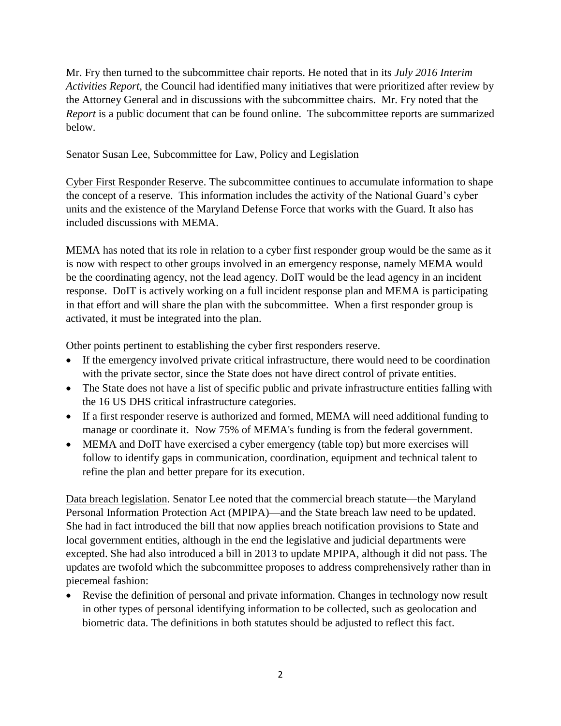Mr. Fry then turned to the subcommittee chair reports. He noted that in its *July 2016 Interim Activities Report*, the Council had identified many initiatives that were prioritized after review by the Attorney General and in discussions with the subcommittee chairs. Mr. Fry noted that the *Report* is a public document that can be found online. The subcommittee reports are summarized below.

Senator Susan Lee, Subcommittee for Law, Policy and Legislation

Cyber First Responder Reserve. The subcommittee continues to accumulate information to shape the concept of a reserve. This information includes the activity of the National Guard's cyber units and the existence of the Maryland Defense Force that works with the Guard. It also has included discussions with MEMA.

MEMA has noted that its role in relation to a cyber first responder group would be the same as it is now with respect to other groups involved in an emergency response, namely MEMA would be the coordinating agency, not the lead agency. DoIT would be the lead agency in an incident response. DoIT is actively working on a full incident response plan and MEMA is participating in that effort and will share the plan with the subcommittee. When a first responder group is activated, it must be integrated into the plan.

Other points pertinent to establishing the cyber first responders reserve.

- If the emergency involved private critical infrastructure, there would need to be coordination with the private sector, since the State does not have direct control of private entities.
- The State does not have a list of specific public and private infrastructure entities falling with the 16 US DHS critical infrastructure categories.
- If a first responder reserve is authorized and formed, MEMA will need additional funding to manage or coordinate it. Now 75% of MEMA's funding is from the federal government.
- MEMA and DoIT have exercised a cyber emergency (table top) but more exercises will follow to identify gaps in communication, coordination, equipment and technical talent to refine the plan and better prepare for its execution.

Data breach legislation. Senator Lee noted that the commercial breach statute—the Maryland Personal Information Protection Act (MPIPA)—and the State breach law need to be updated. She had in fact introduced the bill that now applies breach notification provisions to State and local government entities, although in the end the legislative and judicial departments were excepted. She had also introduced a bill in 2013 to update MPIPA, although it did not pass. The updates are twofold which the subcommittee proposes to address comprehensively rather than in piecemeal fashion:

• Revise the definition of personal and private information. Changes in technology now result in other types of personal identifying information to be collected, such as geolocation and biometric data. The definitions in both statutes should be adjusted to reflect this fact.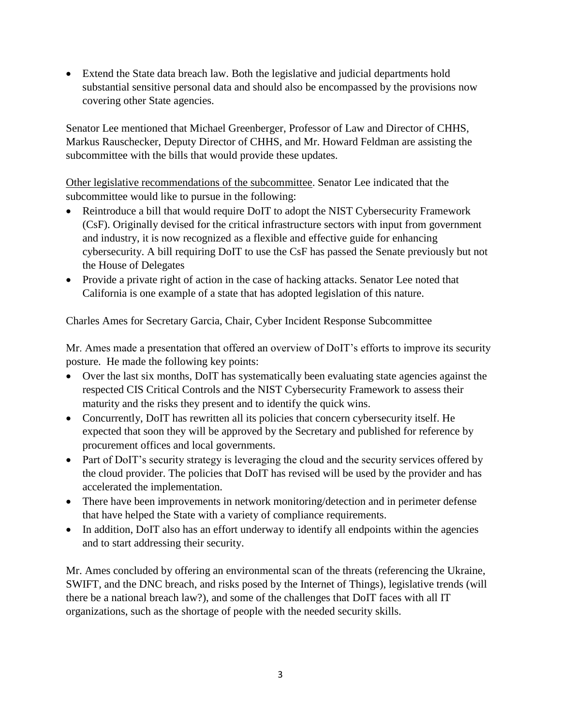• Extend the State data breach law. Both the legislative and judicial departments hold substantial sensitive personal data and should also be encompassed by the provisions now covering other State agencies.

Senator Lee mentioned that Michael Greenberger, Professor of Law and Director of CHHS, Markus Rauschecker, Deputy Director of CHHS, and Mr. Howard Feldman are assisting the subcommittee with the bills that would provide these updates.

Other legislative recommendations of the subcommittee. Senator Lee indicated that the subcommittee would like to pursue in the following:

- Reintroduce a bill that would require DoIT to adopt the NIST Cybersecurity Framework (CsF). Originally devised for the critical infrastructure sectors with input from government and industry, it is now recognized as a flexible and effective guide for enhancing cybersecurity. A bill requiring DoIT to use the CsF has passed the Senate previously but not the House of Delegates
- Provide a private right of action in the case of hacking attacks. Senator Lee noted that California is one example of a state that has adopted legislation of this nature.

Charles Ames for Secretary Garcia, Chair, Cyber Incident Response Subcommittee

Mr. Ames made a presentation that offered an overview of DoIT's efforts to improve its security posture. He made the following key points:

- Over the last six months, DoIT has systematically been evaluating state agencies against the respected CIS Critical Controls and the NIST Cybersecurity Framework to assess their maturity and the risks they present and to identify the quick wins.
- Concurrently, DoIT has rewritten all its policies that concern cybersecurity itself. He expected that soon they will be approved by the Secretary and published for reference by procurement offices and local governments.
- Part of DoIT's security strategy is leveraging the cloud and the security services offered by the cloud provider. The policies that DoIT has revised will be used by the provider and has accelerated the implementation.
- There have been improvements in network monitoring/detection and in perimeter defense that have helped the State with a variety of compliance requirements.
- In addition, DoIT also has an effort underway to identify all endpoints within the agencies and to start addressing their security.

Mr. Ames concluded by offering an environmental scan of the threats (referencing the Ukraine, SWIFT, and the DNC breach, and risks posed by the Internet of Things), legislative trends (will there be a national breach law?), and some of the challenges that DoIT faces with all IT organizations, such as the shortage of people with the needed security skills.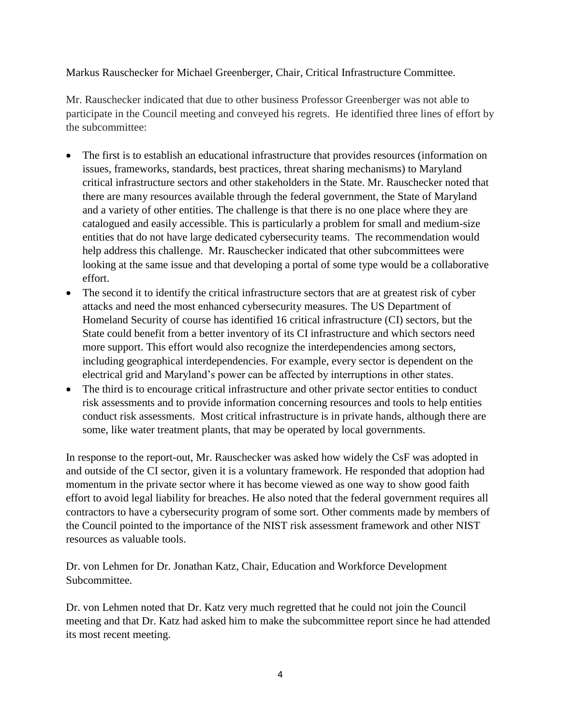### Markus Rauschecker for Michael Greenberger, Chair, Critical Infrastructure Committee.

Mr. Rauschecker indicated that due to other business Professor Greenberger was not able to participate in the Council meeting and conveyed his regrets. He identified three lines of effort by the subcommittee:

- The first is to establish an educational infrastructure that provides resources (information on issues, frameworks, standards, best practices, threat sharing mechanisms) to Maryland critical infrastructure sectors and other stakeholders in the State. Mr. Rauschecker noted that there are many resources available through the federal government, the State of Maryland and a variety of other entities. The challenge is that there is no one place where they are catalogued and easily accessible. This is particularly a problem for small and medium-size entities that do not have large dedicated cybersecurity teams. The recommendation would help address this challenge. Mr. Rauschecker indicated that other subcommittees were looking at the same issue and that developing a portal of some type would be a collaborative effort.
- The second it to identify the critical infrastructure sectors that are at greatest risk of cyber attacks and need the most enhanced cybersecurity measures. The US Department of Homeland Security of course has identified 16 critical infrastructure (CI) sectors, but the State could benefit from a better inventory of its CI infrastructure and which sectors need more support. This effort would also recognize the interdependencies among sectors, including geographical interdependencies. For example, every sector is dependent on the electrical grid and Maryland's power can be affected by interruptions in other states.
- The third is to encourage critical infrastructure and other private sector entities to conduct risk assessments and to provide information concerning resources and tools to help entities conduct risk assessments. Most critical infrastructure is in private hands, although there are some, like water treatment plants, that may be operated by local governments.

In response to the report-out, Mr. Rauschecker was asked how widely the CsF was adopted in and outside of the CI sector, given it is a voluntary framework. He responded that adoption had momentum in the private sector where it has become viewed as one way to show good faith effort to avoid legal liability for breaches. He also noted that the federal government requires all contractors to have a cybersecurity program of some sort. Other comments made by members of the Council pointed to the importance of the NIST risk assessment framework and other NIST resources as valuable tools.

Dr. von Lehmen for Dr. Jonathan Katz, Chair, Education and Workforce Development Subcommittee.

Dr. von Lehmen noted that Dr. Katz very much regretted that he could not join the Council meeting and that Dr. Katz had asked him to make the subcommittee report since he had attended its most recent meeting.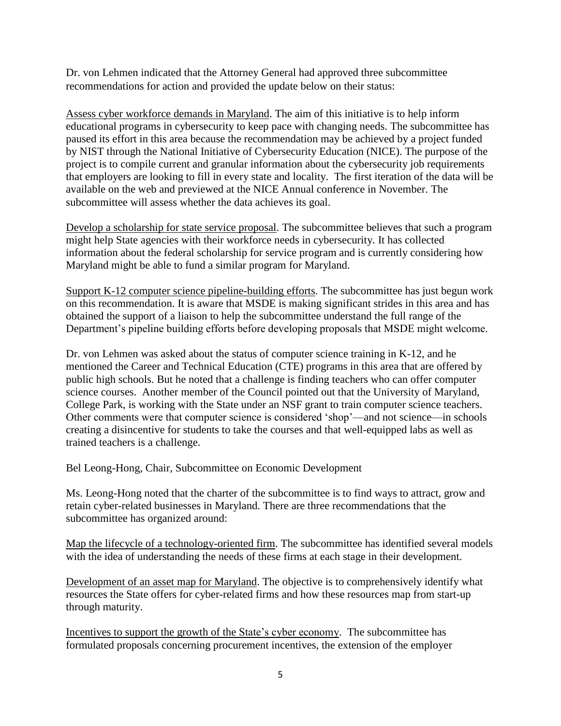Dr. von Lehmen indicated that the Attorney General had approved three subcommittee recommendations for action and provided the update below on their status:

Assess cyber workforce demands in Maryland. The aim of this initiative is to help inform educational programs in cybersecurity to keep pace with changing needs. The subcommittee has paused its effort in this area because the recommendation may be achieved by a project funded by NIST through the National Initiative of Cybersecurity Education (NICE). The purpose of the project is to compile current and granular information about the cybersecurity job requirements that employers are looking to fill in every state and locality. The first iteration of the data will be available on the web and previewed at the NICE Annual conference in November. The subcommittee will assess whether the data achieves its goal.

Develop a scholarship for state service proposal. The subcommittee believes that such a program might help State agencies with their workforce needs in cybersecurity. It has collected information about the federal scholarship for service program and is currently considering how Maryland might be able to fund a similar program for Maryland.

Support K-12 computer science pipeline-building efforts. The subcommittee has just begun work on this recommendation. It is aware that MSDE is making significant strides in this area and has obtained the support of a liaison to help the subcommittee understand the full range of the Department's pipeline building efforts before developing proposals that MSDE might welcome.

Dr. von Lehmen was asked about the status of computer science training in K-12, and he mentioned the Career and Technical Education (CTE) programs in this area that are offered by public high schools. But he noted that a challenge is finding teachers who can offer computer science courses. Another member of the Council pointed out that the University of Maryland, College Park, is working with the State under an NSF grant to train computer science teachers. Other comments were that computer science is considered 'shop'—and not science—in schools creating a disincentive for students to take the courses and that well-equipped labs as well as trained teachers is a challenge.

Bel Leong-Hong, Chair, Subcommittee on Economic Development

Ms. Leong-Hong noted that the charter of the subcommittee is to find ways to attract, grow and retain cyber-related businesses in Maryland. There are three recommendations that the subcommittee has organized around:

Map the lifecycle of a technology-oriented firm. The subcommittee has identified several models with the idea of understanding the needs of these firms at each stage in their development.

Development of an asset map for Maryland. The objective is to comprehensively identify what resources the State offers for cyber-related firms and how these resources map from start-up through maturity.

Incentives to support the growth of the State's cyber economy. The subcommittee has formulated proposals concerning procurement incentives, the extension of the employer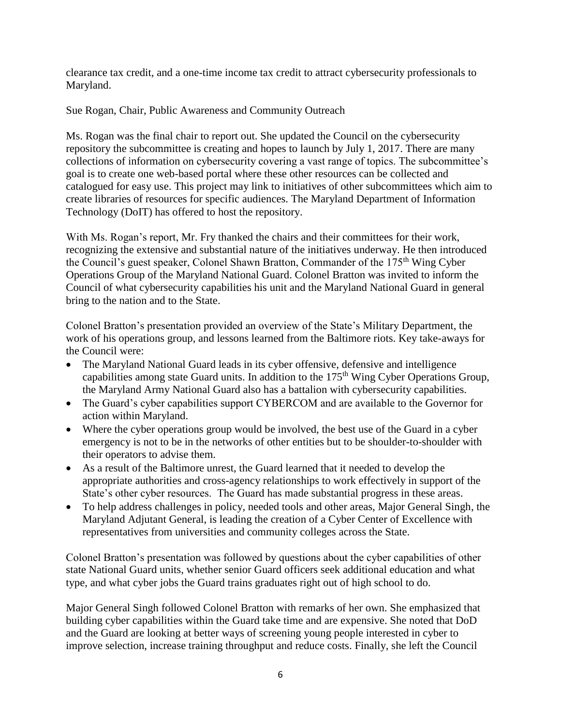clearance tax credit, and a one-time income tax credit to attract cybersecurity professionals to Maryland.

Sue Rogan, Chair, Public Awareness and Community Outreach

Ms. Rogan was the final chair to report out. She updated the Council on the cybersecurity repository the subcommittee is creating and hopes to launch by July 1, 2017. There are many collections of information on cybersecurity covering a vast range of topics. The subcommittee's goal is to create one web-based portal where these other resources can be collected and catalogued for easy use. This project may link to initiatives of other subcommittees which aim to create libraries of resources for specific audiences. The Maryland Department of Information Technology (DoIT) has offered to host the repository.

With Ms. Rogan's report, Mr. Fry thanked the chairs and their committees for their work, recognizing the extensive and substantial nature of the initiatives underway. He then introduced the Council's guest speaker, Colonel Shawn Bratton, Commander of the 175<sup>th</sup> Wing Cyber Operations Group of the Maryland National Guard. Colonel Bratton was invited to inform the Council of what cybersecurity capabilities his unit and the Maryland National Guard in general bring to the nation and to the State.

Colonel Bratton's presentation provided an overview of the State's Military Department, the work of his operations group, and lessons learned from the Baltimore riots. Key take-aways for the Council were:

- The Maryland National Guard leads in its cyber offensive, defensive and intelligence capabilities among state Guard units. In addition to the 175<sup>th</sup> Wing Cyber Operations Group, the Maryland Army National Guard also has a battalion with cybersecurity capabilities.
- The Guard's cyber capabilities support CYBERCOM and are available to the Governor for action within Maryland.
- Where the cyber operations group would be involved, the best use of the Guard in a cyber emergency is not to be in the networks of other entities but to be shoulder-to-shoulder with their operators to advise them.
- As a result of the Baltimore unrest, the Guard learned that it needed to develop the appropriate authorities and cross-agency relationships to work effectively in support of the State's other cyber resources. The Guard has made substantial progress in these areas.
- To help address challenges in policy, needed tools and other areas, Major General Singh, the Maryland Adjutant General, is leading the creation of a Cyber Center of Excellence with representatives from universities and community colleges across the State.

Colonel Bratton's presentation was followed by questions about the cyber capabilities of other state National Guard units, whether senior Guard officers seek additional education and what type, and what cyber jobs the Guard trains graduates right out of high school to do.

Major General Singh followed Colonel Bratton with remarks of her own. She emphasized that building cyber capabilities within the Guard take time and are expensive. She noted that DoD and the Guard are looking at better ways of screening young people interested in cyber to improve selection, increase training throughput and reduce costs. Finally, she left the Council